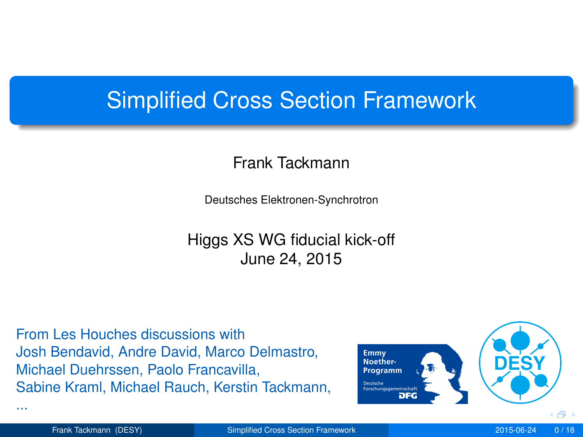## Simplified Cross Section Framework

#### Frank Tackmann

Deutsches Elektronen-Synchrotron

Higgs XS WG fiducial kick-off June 24, 2015

From Les Houches discussions with Josh Bendavid, Andre David, Marco Delmastro, Michael Duehrssen, Paolo Francavilla, Sabine Kraml, Michael Rauch, Kerstin Tackmann,

<span id="page-0-0"></span>

...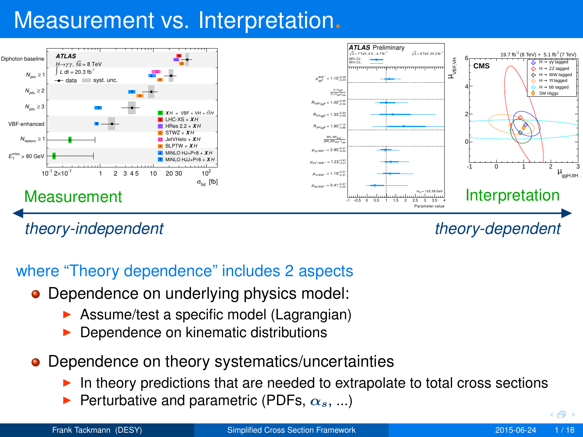# Measurement vs. Interpretation.



#### where "Theory dependence" includes 2 aspects

- Dependence on underlying physics model:
	- $\triangleright$  Assume/test a specific model (Lagrangian)
	- Dependence on kinematic distributions
- **•** Dependence on theory systematics/uncertainties
	- In theory predictions that are needed to extrapolate to total cross sections
	- Perturbative and parametric (PDFs,  $\alpha_s$ , ...)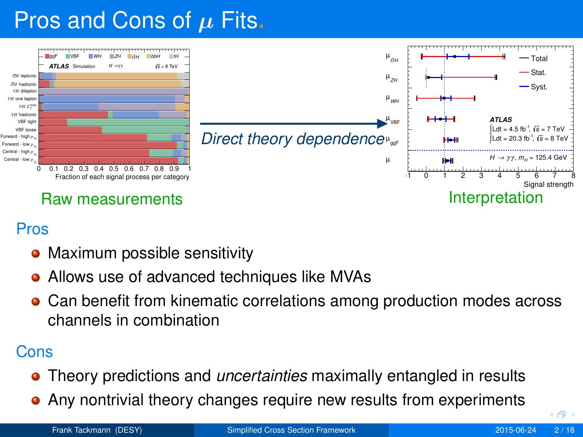# Pros and Cons of  $\mu$  Fits.



#### Pros

- Maximum possible sensitivity
- Allows use of advanced techniques like MVAs
- **Can benefit from kinematic correlations among production modes across** channels in combination

#### Cons

- Theory predictions and *uncertainties* maximally entangled in results
- Any nontrivial theory changes require new results from experiments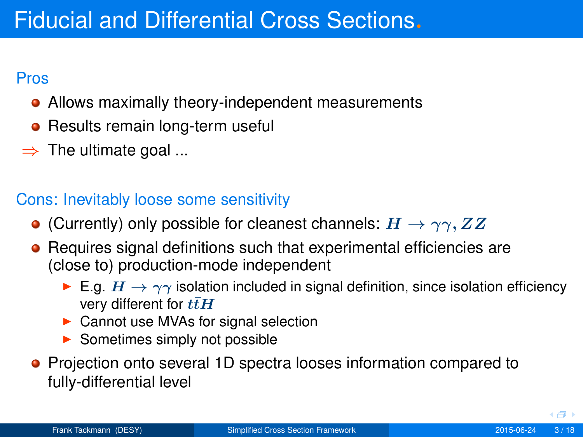#### Pros

- Allows maximally theory-independent measurements
- Results remain long-term useful
- $\Rightarrow$  The ultimate goal ...

## Cons: Inevitably loose some sensitivity

- **•** (Currently) only possible for cleanest channels:  $H \rightarrow \gamma\gamma$ ,  $ZZ$
- Requires signal definitions such that experimental efficiencies are (close to) production-mode independent
	- E.g.  $H \to \gamma\gamma$  isolation included in signal definition, since isolation efficiency very different for  $t\bar{t}H$
	- $\triangleright$  Cannot use MVAs for signal selection
	- $\blacktriangleright$  Sometimes simply not possible
- Projection onto several 1D spectra looses information compared to fully-differential level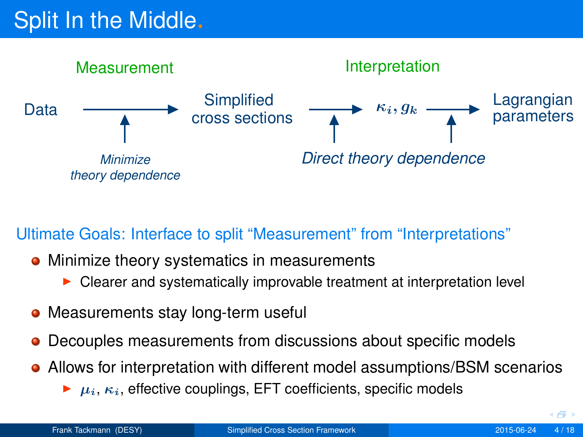# Split In the Middle.



#### Ultimate Goals: Interface to split "Measurement" from "Interpretations"

- Minimize theory systematics in measurements
	- Clearer and systematically improvable treatment at interpretation level
- Measurements stay long-term useful
- Decouples measurements from discussions about specific models
- Allows for interpretation with different model assumptions/BSM scenarios
	- $\blacktriangleright$   $\mu_i$ ,  $\kappa_i$ , effective couplings, EFT coefficients, specific models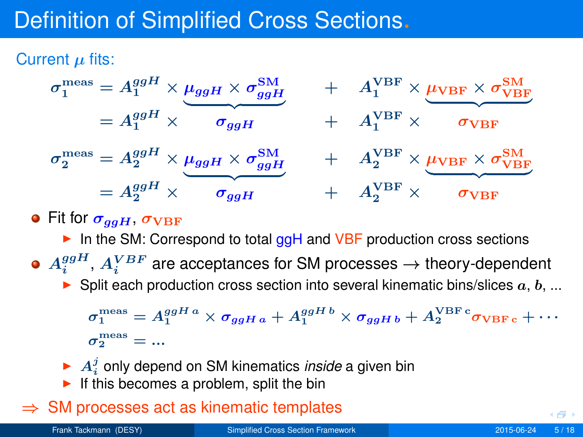# Definition of Simplified Cross Sections.

Current  $\mu$  fits:



## **•** Fit for  $\sigma_{qgH}$ ,  $\sigma_{\text{VBF}}$

- In the SM: Correspond to total  $ggH$  and VBF production cross sections
- $A_i^{ggH}$ ,  $A_i^{VBF}$  are acceptances for SM processes  $\rightarrow$  theory-dependent
	- $\triangleright$  Split each production cross section into several kinematic bins/slices  $a, b, ...$

 $\sigma_1^{\rm meas}=A_1^{ggH\,a}\times\sigma_{ggH\,a}+A_1^{ggH\,b}\times\sigma_{ggH\,b}+A_2^{\rm VBF\,c} \sigma_{\rm VBF\,c}+\cdots$  $\sigma^\mathrm{meas}_2=...$ 

- $\blacktriangleright$   $A_i^j$  only depend on SM kinematics *inside* a given bin
- If this becomes a problem, split the bin

### $\Rightarrow$  SM processes act as kinematic templates

∢ শী ৷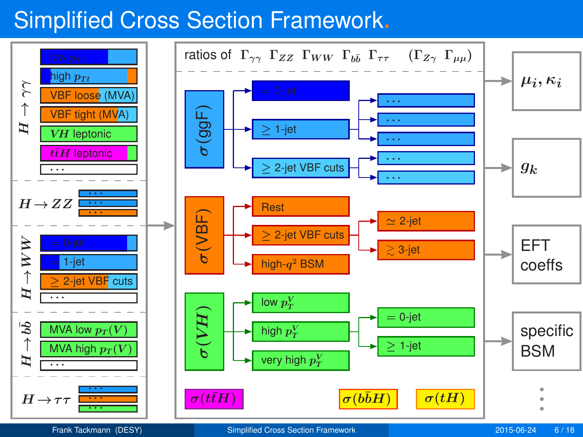# Simplified Cross Section Framework.

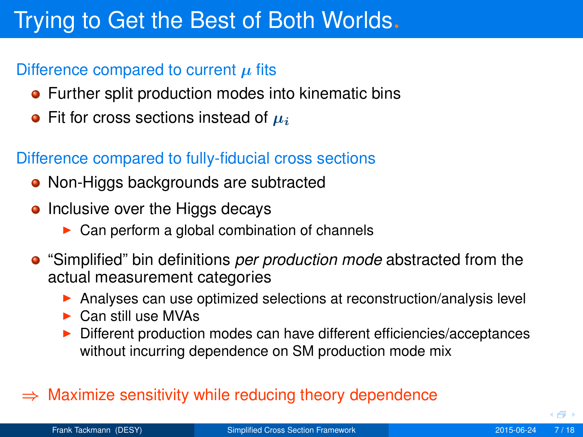# Trying to Get the Best of Both Worlds.

#### Difference compared to current  $\mu$  fits

- **•** Further split production modes into kinematic bins
- Fit for cross sections instead of  $\mu_i$

#### Difference compared to fully-fiducial cross sections

- Non-Higgs backgrounds are subtracted
- Inclusive over the Higgs decays
	- $\triangleright$  Can perform a global combination of channels
- "Simplified" bin definitions *per production mode* abstracted from the actual measurement categories
	- **Analyses can use optimized selections at reconstruction/analysis level**
	- $\triangleright$  Can still use MVAs
	- ▶ Different production modes can have different efficiencies/acceptances without incurring dependence on SM production mode mix

#### $\Rightarrow$  Maximize sensitivity while reducing theory dependence

4 何 )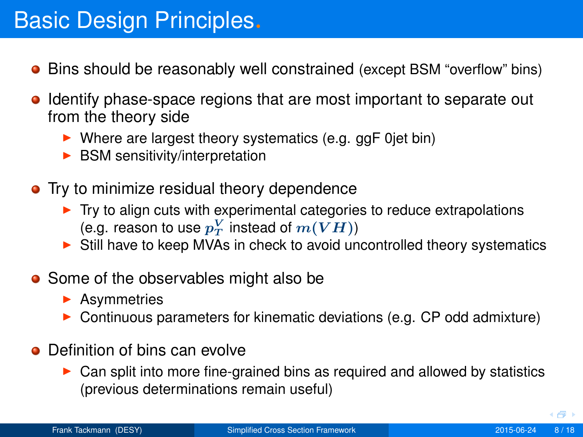- **•** Bins should be reasonably well constrained (except BSM "overflow" bins)
- Identify phase-space regions that are most important to separate out from the theory side
	- $\blacktriangleright$  Where are largest theory systematics (e.g. ggF 0jet bin)
	- $\blacktriangleright$  BSM sensitivity/interpretation
- **•** Try to minimize residual theory dependence
	- $\blacktriangleright$  Try to align cuts with experimental categories to reduce extrapolations (e.g. reason to use  $p_T^V$  instead of  $m(VH))$
	- $\triangleright$  Still have to keep MVAs in check to avoid uncontrolled theory systematics
- Some of the observables might also be
	- $\blacktriangleright$  Asymmetries
	- <sup>I</sup> Continuous parameters for kinematic deviations (e.g. CP odd admixture)
- **O** Definition of bins can evolve
	- $\triangleright$  Can split into more fine-grained bins as required and allowed by statistics (previous determinations remain useful)

4 何 )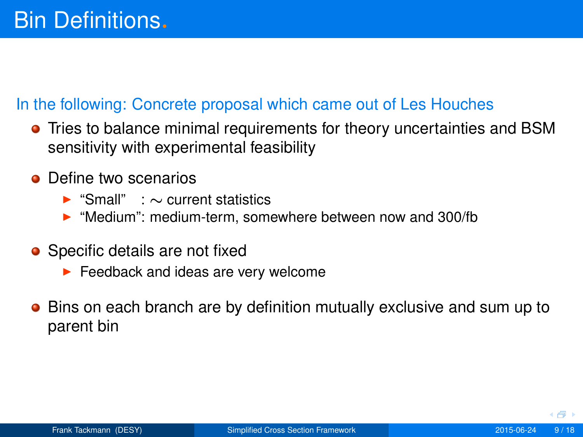#### In the following: Concrete proposal which came out of Les Houches

- Tries to balance minimal requirements for theory uncertainties and BSM sensitivity with experimental feasibility
- Define two scenarios
	- <sup>I</sup> "Small" : ∼ current statistics
	- ▶ "Medium": medium-term, somewhere between now and 300/fb
- Specific details are not fixed
	- $\blacktriangleright$  Feedback and ideas are very welcome
- **Bins on each branch are by definition mutually exclusive and sum up to** parent bin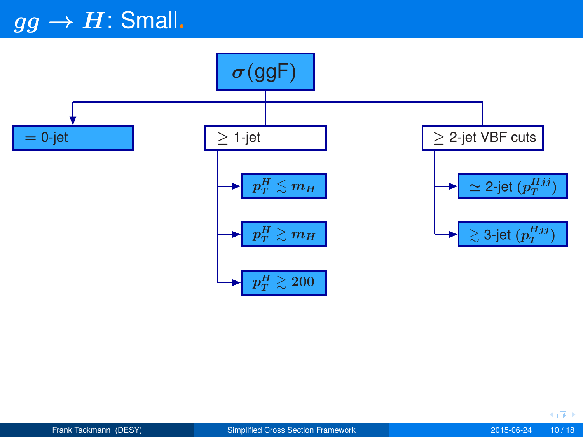# $gg \rightarrow H$ : Small.



◆母→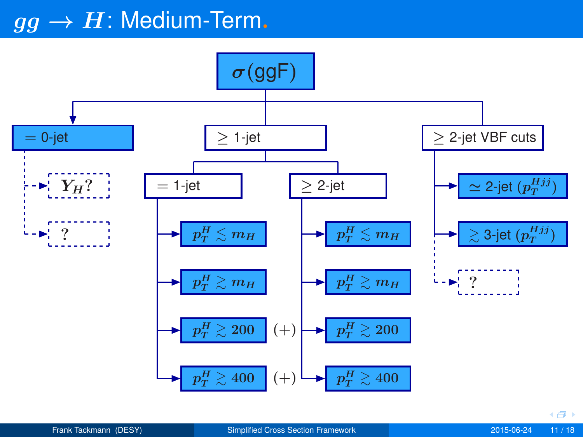## $\overline{gg} \rightarrow H$ : Medium-Term.

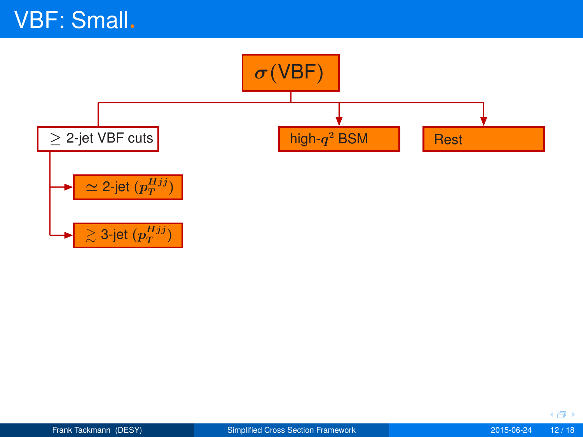

◆母→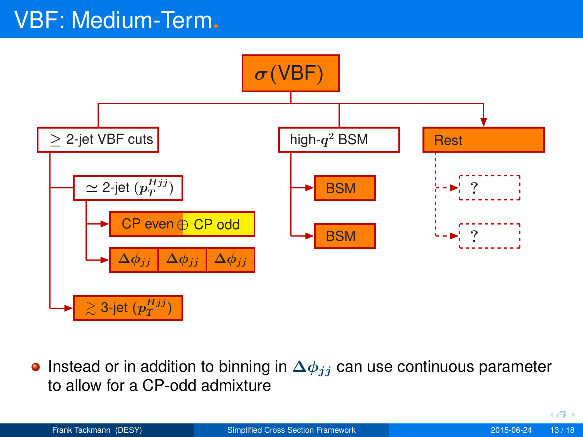# VBF: Medium-Term.



Instead or in addition to binning in  $\Delta\phi_{ij}$  can use continuous parameter  $\bullet$ to allow for a CP-odd admixture

( 母)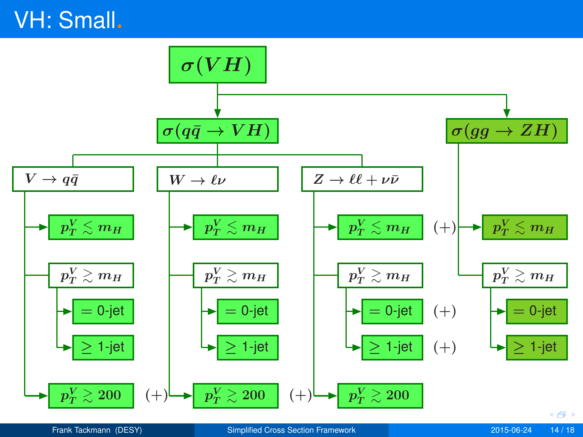# VH: Small.

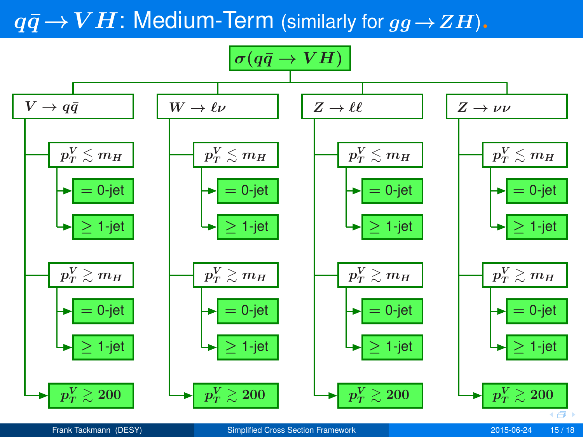## $q\bar{q} \rightarrow VH$ : Medium-Term (similarly for  $q\bar{q} \rightarrow ZH$ ).



Frank Tackmann (DESY) [Simplified Cross Section Framework](#page-0-0) 2015-06-24 15 / 18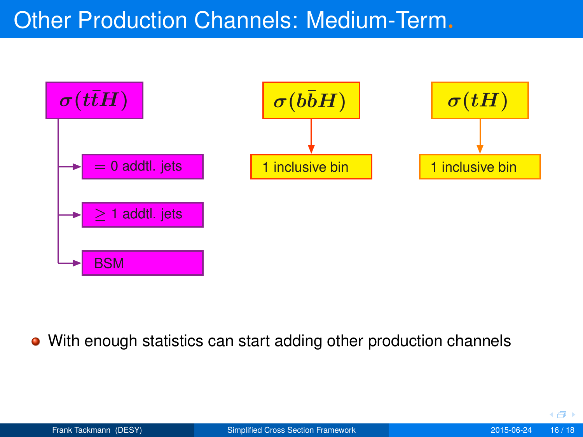## Other Production Channels: Medium-Term.



With enough statistics can start adding other production channels  $\bullet$ 

( 母)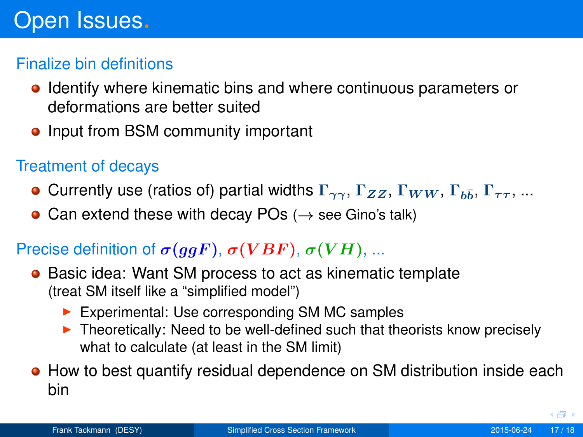#### Finalize bin definitions

- **•** Identify where kinematic bins and where continuous parameters or deformations are better suited
- Input from BSM community important

### Treatment of decays

- Currently use (ratios of) partial widths  $\Gamma_{\gamma\gamma},$   $\Gamma_{ZZ},$   $\Gamma_{WW},$   $\Gamma_{b\bar{b}},$   $\Gamma_{\tau\tau},$  ...
- Can extend these with decay POs  $(\rightarrow$  see Gino's talk)

## Precise definition of  $\sigma(ggF)$ ,  $\sigma(VBF)$ ,  $\sigma(VH)$ , ...

- **Basic idea: Want SM process to act as kinematic template** (treat SM itself like a "simplified model")
	- $\blacktriangleright$  Experimental: Use corresponding SM MC samples
	- $\triangleright$  Theoretically: Need to be well-defined such that theorists know precisely what to calculate (at least in the SM limit)
- **•** How to best quantify residual dependence on SM distribution inside each bin

<span id="page-17-0"></span> $\leftarrow$   $\overline{=}$